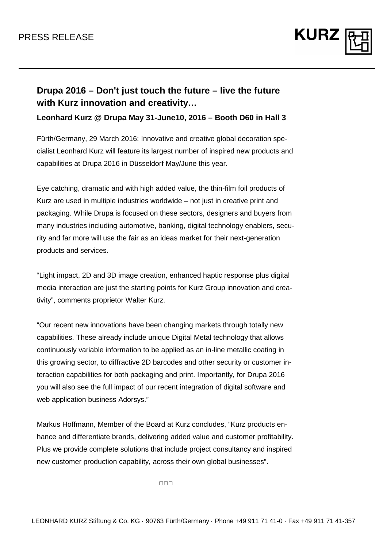

## **Drupa 2016 – Don't just touch the future – live the future with Kurz innovation and creativity…**

**Leonhard Kurz @ Drupa May 31-June10, 2016 – Booth D60 in Hall 3** 

Fürth/Germany, 29 March 2016: Innovative and creative global decoration specialist Leonhard Kurz will feature its largest number of inspired new products and capabilities at Drupa 2016 in Düsseldorf May/June this year.

Eye catching, dramatic and with high added value, the thin-film foil products of Kurz are used in multiple industries worldwide – not just in creative print and packaging. While Drupa is focused on these sectors, designers and buyers from many industries including automotive, banking, digital technology enablers, security and far more will use the fair as an ideas market for their next-generation products and services.

"Light impact, 2D and 3D image creation, enhanced haptic response plus digital media interaction are just the starting points for Kurz Group innovation and creativity", comments proprietor Walter Kurz.

"Our recent new innovations have been changing markets through totally new capabilities. These already include unique Digital Metal technology that allows continuously variable information to be applied as an in-line metallic coating in this growing sector, to diffractive 2D barcodes and other security or customer interaction capabilities for both packaging and print. Importantly, for Drupa 2016 you will also see the full impact of our recent integration of digital software and web application business Adorsys."

Markus Hoffmann, Member of the Board at Kurz concludes, "Kurz products enhance and differentiate brands, delivering added value and customer profitability. Plus we provide complete solutions that include project consultancy and inspired new customer production capability, across their own global businesses".

□□□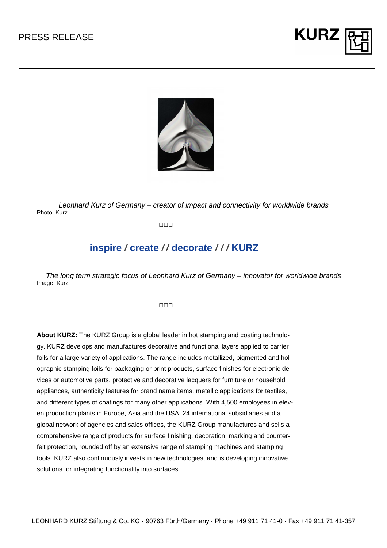



Leonhard Kurz of Germany – creator of impact and connectivity for worldwide brands Photo: Kurz

□□□

## **inspire / create / / decorate / / / KURZ**

The long term strategic focus of Leonhard Kurz of Germany – innovator for worldwide brands Image: Kurz

□□□

**About KURZ:** The KURZ Group is a global leader in hot stamping and coating technology. KURZ develops and manufactures decorative and functional layers applied to carrier foils for a large variety of applications. The range includes metallized, pigmented and holographic stamping foils for packaging or print products, surface finishes for electronic devices or automotive parts, protective and decorative lacquers for furniture or household appliances, authenticity features for brand name items, metallic applications for textiles, and different types of coatings for many other applications. With 4,500 employees in eleven production plants in Europe, Asia and the USA, 24 international subsidiaries and a global network of agencies and sales offices, the KURZ Group manufactures and sells a comprehensive range of products for surface finishing, decoration, marking and counterfeit protection, rounded off by an extensive range of stamping machines and stamping tools. KURZ also continuously invests in new technologies, and is developing innovative solutions for integrating functionality into surfaces.